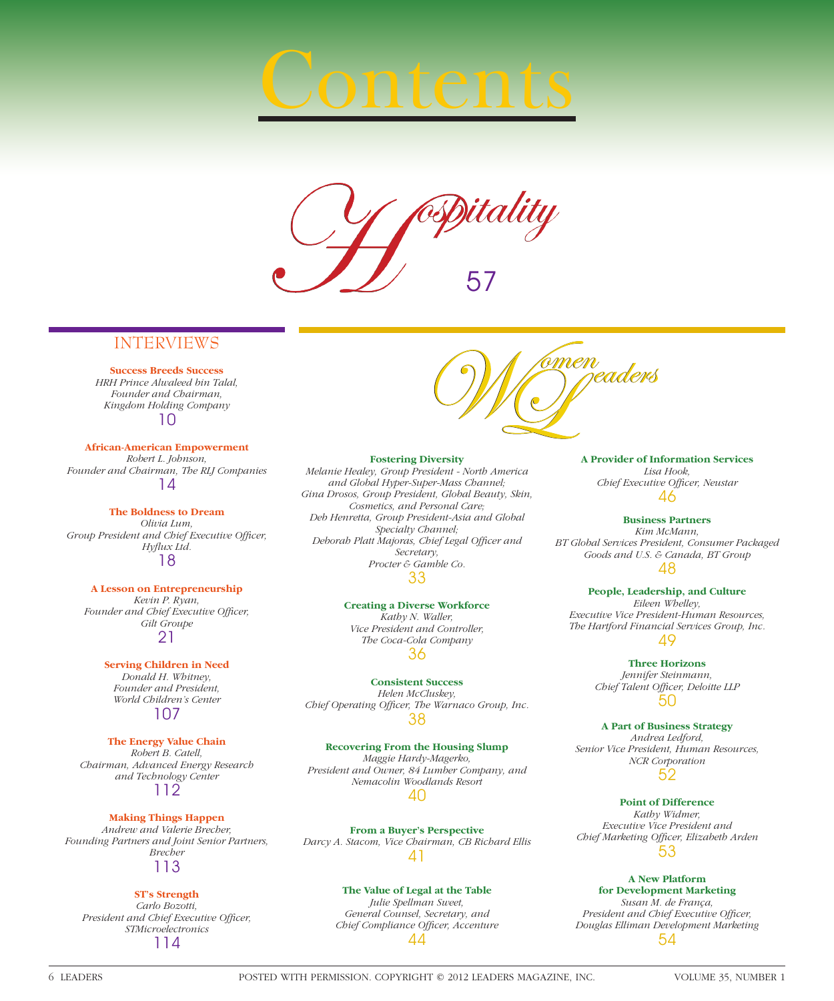# Contents



## INTERVIEWS

**Success Breeds Success** *HRH Prince Alwaleed bin Talal, Founder and Chairman, Kingdom Holding Company* 10

**African-American Empowerment** *Robert L. Johnson, Founder and Chairman, The RLJ Companies* 14

**The Boldness to Dream** *Olivia Lum,*  Group President and Chief Executive Officer, Hyflux Ltd. 18

**A Lesson on Entrepreneurship** *Kevin P. Ryan,*  Founder and Chief Executive Officer, *Gilt Groupe* 21

> **Serving Children in Need** *Donald H. Whitney, Founder and President, World Children's Center* 107

**The Energy Value Chain** *Robert B. Catell, Chairman, Advanced Energy Research and Technology Center* 112

**Making Things Happen** *Andrew and Valerie Brecher, Founding Partners and Joint Senior Partners, Brecher* 113

#### **ST's Strength**

*Carlo Bozotti,*  **President and Chief Executive Officer,** *STMicroelectronics* 114



#### **Fostering Diversity**

*Melanie Healey, Group President - North America and Global Hyper-Super-Mass Channel; Gina Drosos, Group President, Global Beauty, Skin, Cosmetics, and Personal Care; Deb Henretta, Group President-Asia and Global Specialty Channel;*  Deborah Platt Majoras, Chief Legal Officer and *Secretary, Procter & Gamble Co.* 33

> **Creating a Diverse Workforce** *Kathy N. Waller,*

*Vice President and Controller, The Coca-Cola Company* 36

**Consistent Success** *Helen McCluskey,*  Chief Operating Officer, The Warnaco Group, Inc. 38

**Recovering From the Housing Slump** *Maggie Hardy-Magerko, President and Owner, 84 Lumber Company, and Nemacolin Woodlands Resort* 40

**From a Buyer's Perspective** *Darcy A. Stacom, Vice Chairman, CB Richard Ellis* 41

#### **The Value of Legal at the Table**

*Julie Spellman Sweet, General Counsel, Secretary, and Chief Compliance Officer, Accenture* 44

**A Provider of Information Services** *Lisa Hook,*  **Chief Executive Officer, Neustar** 46

#### **Business Partners**

*Kim McMann, BT Global Services President, Consumer Packaged Goods and U.S. & Canada, BT Group* 48

#### **People, Leadership, and Culture**

*Eileen Whelley, Executive Vice President-Human Resources, The Hartford Financial Services Group, Inc.* 49

> **Three Horizons** *Jennifer Steinmann,*  **Chief Talent Officer, Deloitte LLP** 50

**A Part of Business Strategy** *Andrea Ledford, Senior Vice President, Human Resources, NCR Corporation*

52

**Point of Difference**

*Kathy Widmer, Executive Vice President and Chief Marketing Offi cer, Elizabeth Arden* 53

#### **A New Platform**

**for Development Marketing** *Susan M. de França, President and Chief Executive Officer, Douglas Elliman Development Marketing* 54